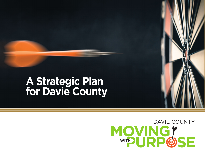# **A Strategic Plan for Davie County**

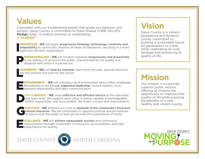### **Values**

Consistent with our fundamental beliefs that guide our behavior and actions, Davie County is committed to these shared CORE VALUES. **Pledge** /plej/: A solemn promise or undertaking. "I PLEDGE"

**NNOVATION - WE** will apply pro<br> **adaptability** to continually impr<br>
agile and efficient organization. **NNOVATION - WE** will apply progressive thinking, technology, creativity and adaptability to continually improve all areas of operations, resulting in a more

PROFESSIONALISM – **WE** will conduct ourselves responsively and proactively in our delivery of service to the public, characterized by the quality and diligence with which it is carried out.

 $\frac{E}{f}$ EADERSHIP – **WE** will lead by example, learn from the past, provide direction for the present and plan for the future.

**EMPOWERMENT – WE** will cultivate a work environment which offers employees<br>the authority to act through **supportive leadership**, mutual respect, trust,<br>personal responsibility and open communication. the authority to act through supportive leadership, mutual respect, trust, **P** personal responsibility and open communication.

**DUTY & SERVICE – WE** value effective and efficient service at the individual and team level. We support each other in being capable, knowledgeable, skilled, responsible, and accountable. We foster success and improvement. and team level. We support each other in being capable, knowledgeable,

**RATITUDE – WE** embrace our role as **stewards of the community's fiscal and natural resources**. We are committed to rigorous policies and procedures to assure that the public is well served with the expenditure of funds. natural resources. We are committed to rigorous policies and procedures to assure that the public is well served with the expenditure of funds.

**EXCELLENCE – WE** will achieve measurable success and continuous<br>improvement through investment of resources, accountability and<br>expectations for quality. improvement through investment of resources, accountability and high **Expectations for quality.** 



## **Vision**

Davie County is a vibrant, prosperous and dynamic county committed to building a sustainable future for generations to come, while celebrating its rural heritage and enhancing its quality of life.

## **Mission**

Our mission is to provide superior public service offering all citizens the opportunity to improve their quality of life while enjoying the benefits of a safe, healthy and vibrant county.

DAVIE COUNTY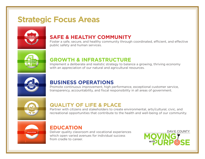### **Strategic Focus Areas**



#### **SAFE & HEALTHY COMMUNITY**

Foster a safe, secure, and healthy community through coordinated, efficient, and effective public safety and human services.



#### **GROWTH & INFRASTRUCTURE**

Implement a deliberate and realistic strategy to balance a growing, thriving economy with an appreciation of our natural and agricultural resources.



#### **BUSINESS OPERATIONS**

Promote continuous improvement, high performance, exceptional customer service, transparency, accountability, and fiscal responsibility in all areas of government.



#### **QUALITY OF LIFE & PLACE**

Partner with citizens and stakeholders to create environmental, arts/cultural, civic, and recreational opportunities that contribute to the health and well-being of our community.



#### **EDUCATION**

Deliver quality classroom and vocational experiences which open varied avenues for individual success from cradle to career.

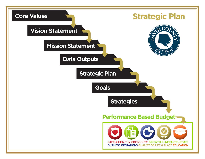